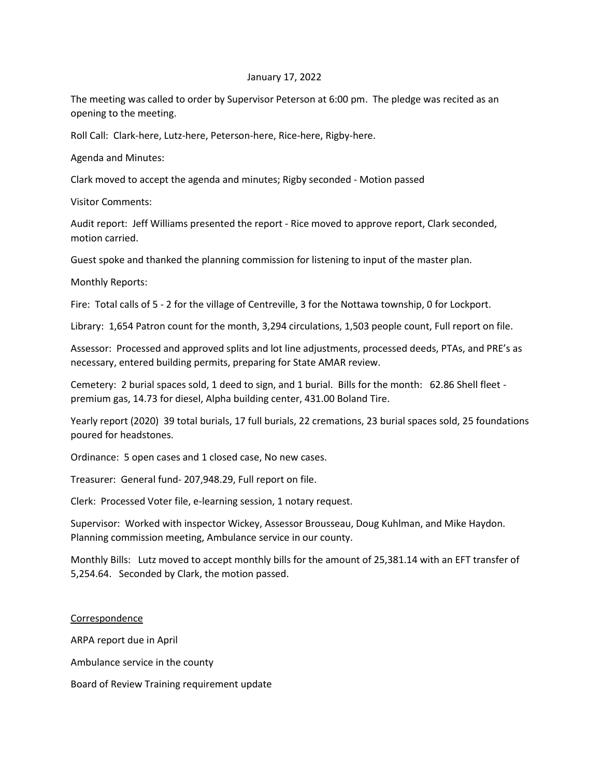## January 17, 2022

The meeting was called to order by Supervisor Peterson at 6:00 pm. The pledge was recited as an opening to the meeting.

Roll Call: Clark-here, Lutz-here, Peterson-here, Rice-here, Rigby-here.

Agenda and Minutes:

Clark moved to accept the agenda and minutes; Rigby seconded - Motion passed

Visitor Comments:

Audit report: Jeff Williams presented the report - Rice moved to approve report, Clark seconded, motion carried.

Guest spoke and thanked the planning commission for listening to input of the master plan.

Monthly Reports:

Fire: Total calls of 5 - 2 for the village of Centreville, 3 for the Nottawa township, 0 for Lockport.

Library: 1,654 Patron count for the month, 3,294 circulations, 1,503 people count, Full report on file.

Assessor: Processed and approved splits and lot line adjustments, processed deeds, PTAs, and PRE's as necessary, entered building permits, preparing for State AMAR review.

Cemetery: 2 burial spaces sold, 1 deed to sign, and 1 burial. Bills for the month: 62.86 Shell fleet premium gas, 14.73 for diesel, Alpha building center, 431.00 Boland Tire.

Yearly report (2020) 39 total burials, 17 full burials, 22 cremations, 23 burial spaces sold, 25 foundations poured for headstones.

Ordinance: 5 open cases and 1 closed case, No new cases.

Treasurer: General fund- 207,948.29, Full report on file.

Clerk: Processed Voter file, e-learning session, 1 notary request.

Supervisor: Worked with inspector Wickey, Assessor Brousseau, Doug Kuhlman, and Mike Haydon. Planning commission meeting, Ambulance service in our county.

Monthly Bills: Lutz moved to accept monthly bills for the amount of 25,381.14 with an EFT transfer of 5,254.64. Seconded by Clark, the motion passed.

## Correspondence

ARPA report due in April

Ambulance service in the county

Board of Review Training requirement update